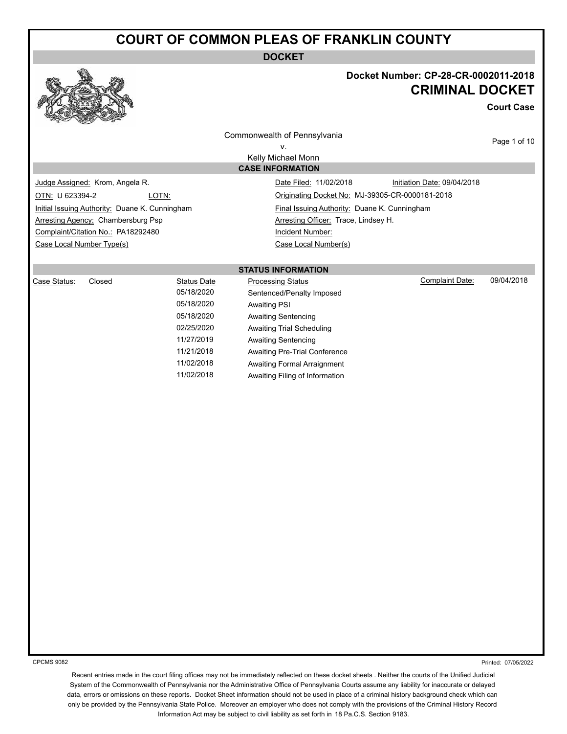**DOCKET**



#### **Docket Number: CP-28-CR-0002011-2018 CRIMINAL DOCKET**

**Court Case**

Commonwealth of Pennsylvania

v. Kelly Michael Monn **CASE INFORMATION** Page 1 of 10

Judge Assigned: Krom, Angela R. Camera Communication Date Filed: 11/02/2018 Initiation Date: 09/04/2018 OTN: U 623394-2 LOTN: Originating Docket No: MJ-39305-CR-0000181-2018 Initial Issuing Authority: Duane K. Cunningham Final Issuing Authority: Duane K. Cunningham Arresting Agency: Chambersburg Psp Arresting Officer: Trace, Lindsey H. Complaint/Citation No.: PA18292480 Incident Number: Case Local Number Type(s) Case Local Number(s)

#### **STATUS INFORMATION**

| Case Status: | Closed | <b>Status Date</b> | <b>Processing Status</b>       | Complaint Date: | 09/04/2018 |
|--------------|--------|--------------------|--------------------------------|-----------------|------------|
|              |        | 05/18/2020         | Sentenced/Penalty Imposed      |                 |            |
|              |        | 05/18/2020         | Awaiting PSI                   |                 |            |
|              |        | 05/18/2020         | Awaiting Sentencing            |                 |            |
|              |        | 02/25/2020         | Awaiting Trial Scheduling      |                 |            |
|              |        | 11/27/2019         | Awaiting Sentencing            |                 |            |
|              |        | 11/21/2018         | Awaiting Pre-Trial Conference  |                 |            |
|              |        | 11/02/2018         | Awaiting Formal Arraignment    |                 |            |
|              |        | 11/02/2018         | Awaiting Filing of Information |                 |            |
|              |        |                    |                                |                 |            |

CPCMS 9082

Printed: 07/05/2022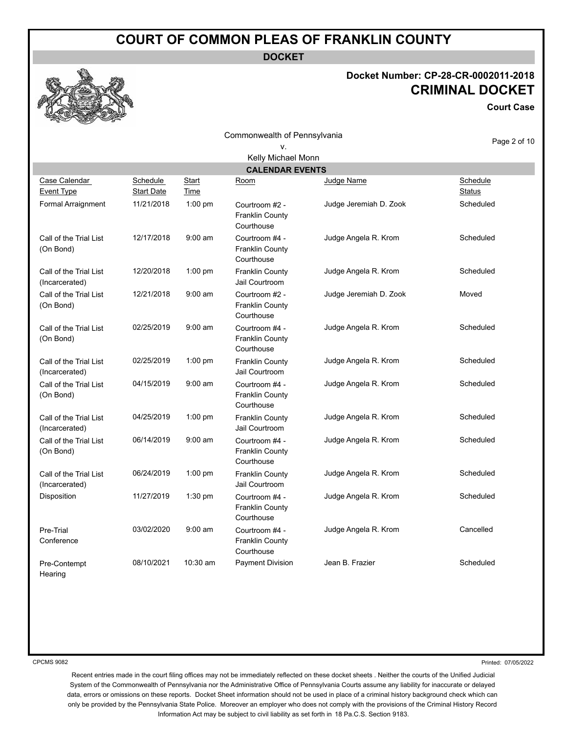**DOCKET**

#### **Docket Number: CP-28-CR-0002011-2018 CRIMINAL DOCKET**

**Court Case**

|                                          |                               |                      | Commonwealth of Pennsylvania                           |                        | Page 2 of 10              |
|------------------------------------------|-------------------------------|----------------------|--------------------------------------------------------|------------------------|---------------------------|
|                                          |                               |                      | ν.                                                     |                        |                           |
|                                          |                               |                      | Kelly Michael Monn                                     |                        |                           |
|                                          |                               |                      | <b>CALENDAR EVENTS</b>                                 |                        |                           |
| Case Calendar<br><b>Event Type</b>       | Schedule<br><b>Start Date</b> | <b>Start</b><br>Time | Room                                                   | Judge Name             | Schedule<br><b>Status</b> |
| Formal Arraignment                       | 11/21/2018                    | 1:00 pm              | Courtroom #2 -<br><b>Franklin County</b><br>Courthouse | Judge Jeremiah D. Zook | Scheduled                 |
| Call of the Trial List<br>(On Bond)      | 12/17/2018                    | $9:00$ am            | Courtroom #4 -<br><b>Franklin County</b><br>Courthouse | Judge Angela R. Krom   | Scheduled                 |
| Call of the Trial List<br>(Incarcerated) | 12/20/2018                    | 1:00 pm              | <b>Franklin County</b><br>Jail Courtroom               | Judge Angela R. Krom   | Scheduled                 |
| Call of the Trial List<br>(On Bond)      | 12/21/2018                    | $9:00$ am            | Courtroom #2 -<br><b>Franklin County</b><br>Courthouse | Judge Jeremiah D. Zook | Moved                     |
| Call of the Trial List<br>(On Bond)      | 02/25/2019                    | $9:00$ am            | Courtroom #4 -<br><b>Franklin County</b><br>Courthouse | Judge Angela R. Krom   | Scheduled                 |
| Call of the Trial List<br>(Incarcerated) | 02/25/2019                    | 1:00 pm              | <b>Franklin County</b><br>Jail Courtroom               | Judge Angela R. Krom   | Scheduled                 |
| Call of the Trial List<br>(On Bond)      | 04/15/2019                    | $9:00$ am            | Courtroom #4 -<br><b>Franklin County</b><br>Courthouse | Judge Angela R. Krom   | Scheduled                 |
| Call of the Trial List<br>(Incarcerated) | 04/25/2019                    | 1:00 pm              | <b>Franklin County</b><br>Jail Courtroom               | Judge Angela R. Krom   | Scheduled                 |
| Call of the Trial List<br>(On Bond)      | 06/14/2019                    | $9:00$ am            | Courtroom #4 -<br><b>Franklin County</b><br>Courthouse | Judge Angela R. Krom   | Scheduled                 |
| Call of the Trial List<br>(Incarcerated) | 06/24/2019                    | 1:00 pm              | <b>Franklin County</b><br>Jail Courtroom               | Judge Angela R. Krom   | Scheduled                 |
| Disposition                              | 11/27/2019                    | 1:30 pm              | Courtroom #4 -<br><b>Franklin County</b><br>Courthouse | Judge Angela R. Krom   | Scheduled                 |
| Pre-Trial<br>Conference                  | 03/02/2020                    | $9:00$ am            | Courtroom #4 -<br><b>Franklin County</b><br>Courthouse | Judge Angela R. Krom   | Cancelled                 |
| Pre-Contempt<br>Hearing                  | 08/10/2021                    | 10:30 am             | <b>Payment Division</b>                                | Jean B. Frazier        | Scheduled                 |

CPCMS 9082

Printed: 07/05/2022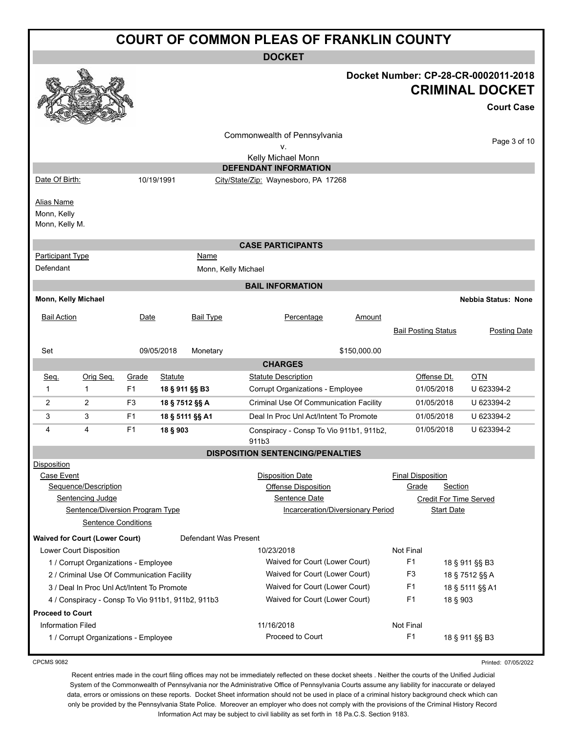|                                                    | <b>COURT OF COMMON PLEAS OF FRANKLIN COUNTY</b>                                                                  |                |                 |                       |                                                                                                      |              |                                   |                              |                                                                                     |              |
|----------------------------------------------------|------------------------------------------------------------------------------------------------------------------|----------------|-----------------|-----------------------|------------------------------------------------------------------------------------------------------|--------------|-----------------------------------|------------------------------|-------------------------------------------------------------------------------------|--------------|
|                                                    | <b>DOCKET</b>                                                                                                    |                |                 |                       |                                                                                                      |              |                                   |                              |                                                                                     |              |
|                                                    |                                                                                                                  |                |                 |                       |                                                                                                      |              |                                   |                              | Docket Number: CP-28-CR-0002011-2018<br><b>CRIMINAL DOCKET</b><br><b>Court Case</b> |              |
|                                                    |                                                                                                                  |                |                 |                       | Commonwealth of Pennsylvania                                                                         |              |                                   |                              |                                                                                     | Page 3 of 10 |
|                                                    |                                                                                                                  |                |                 |                       | ٧.<br>Kelly Michael Monn                                                                             |              |                                   |                              |                                                                                     |              |
|                                                    |                                                                                                                  |                |                 |                       | <b>DEFENDANT INFORMATION</b>                                                                         |              |                                   |                              |                                                                                     |              |
| Date Of Birth:                                     |                                                                                                                  |                | 10/19/1991      |                       | City/State/Zip: Waynesboro, PA 17268                                                                 |              |                                   |                              |                                                                                     |              |
| <b>Alias Name</b><br>Monn, Kelly<br>Monn, Kelly M. |                                                                                                                  |                |                 |                       |                                                                                                      |              |                                   |                              |                                                                                     |              |
|                                                    |                                                                                                                  |                |                 |                       | <b>CASE PARTICIPANTS</b>                                                                             |              |                                   |                              |                                                                                     |              |
| <b>Participant Type</b>                            |                                                                                                                  |                |                 | Name                  |                                                                                                      |              |                                   |                              |                                                                                     |              |
| Defendant                                          |                                                                                                                  |                |                 | Monn, Kelly Michael   |                                                                                                      |              |                                   |                              |                                                                                     |              |
|                                                    |                                                                                                                  |                |                 |                       | <b>BAIL INFORMATION</b>                                                                              |              |                                   |                              |                                                                                     |              |
| Monn, Kelly Michael                                |                                                                                                                  |                |                 |                       |                                                                                                      |              |                                   |                              | <b>Nebbia Status: None</b>                                                          |              |
| <b>Bail Action</b>                                 |                                                                                                                  | Date           |                 | <b>Bail Type</b>      | Percentage                                                                                           | Amount       | <b>Bail Posting Status</b>        |                              | <b>Posting Date</b>                                                                 |              |
| Set                                                |                                                                                                                  |                | 09/05/2018      | Monetary              |                                                                                                      | \$150,000.00 |                                   |                              |                                                                                     |              |
|                                                    |                                                                                                                  |                |                 |                       | <b>CHARGES</b>                                                                                       |              |                                   |                              |                                                                                     |              |
| Seq.                                               | Orig Seq.                                                                                                        | Grade          | <b>Statute</b>  |                       | <b>Statute Description</b>                                                                           |              |                                   | Offense Dt.                  | <b>OTN</b>                                                                          |              |
| 1                                                  | $\mathbf{1}$                                                                                                     | F <sub>1</sub> | 18 § 911 §§ B3  |                       | Corrupt Organizations - Employee                                                                     |              |                                   | 01/05/2018                   | U 623394-2                                                                          |              |
| 2                                                  | $\overline{2}$                                                                                                   | F3             | 18 § 7512 §§ A  |                       | Criminal Use Of Communication Facility                                                               |              |                                   | 01/05/2018                   | U 623394-2                                                                          |              |
| 3                                                  | 3                                                                                                                | F1             | 18 § 5111 §§ A1 |                       | Deal In Proc Unl Act/Intent To Promote                                                               |              |                                   | 01/05/2018                   | U 623394-2                                                                          |              |
| 4                                                  | 4                                                                                                                | F <sub>1</sub> | 18 § 903        |                       | Conspiracy - Consp To Vio 911b1, 911b2,<br>911b3                                                     |              |                                   | 01/05/2018                   | U 623394-2                                                                          |              |
|                                                    |                                                                                                                  |                |                 |                       | <b>DISPOSITION SENTENCING/PENALTIES</b>                                                              |              |                                   |                              |                                                                                     |              |
| <b>Disposition</b><br>Case Event                   | Sequence/Description<br><b>Sentencing Judge</b><br>Sentence/Diversion Program Type<br><b>Sentence Conditions</b> |                |                 |                       | <b>Disposition Date</b><br>Offense Disposition<br>Sentence Date<br>Incarceration/Diversionary Period |              | <b>Final Disposition</b><br>Grade | Section<br><b>Start Date</b> | <b>Credit For Time Served</b>                                                       |              |
|                                                    | <b>Waived for Court (Lower Court)</b>                                                                            |                |                 | Defendant Was Present |                                                                                                      |              |                                   |                              |                                                                                     |              |
|                                                    | Lower Court Disposition                                                                                          |                |                 |                       | 10/23/2018                                                                                           |              | Not Final                         |                              |                                                                                     |              |
|                                                    | 1 / Corrupt Organizations - Employee                                                                             |                |                 |                       | Waived for Court (Lower Court)                                                                       |              | F1                                |                              | 18 § 911 §§ B3                                                                      |              |
|                                                    | 2 / Criminal Use Of Communication Facility                                                                       |                |                 |                       | Waived for Court (Lower Court)                                                                       |              | F <sub>3</sub>                    |                              | 18 § 7512 §§ A                                                                      |              |
|                                                    | 3 / Deal In Proc Unl Act/Intent To Promote                                                                       |                |                 |                       | Waived for Court (Lower Court)                                                                       |              | F1                                |                              | 18 § 5111 §§ A1                                                                     |              |
|                                                    | 4 / Conspiracy - Consp To Vio 911b1, 911b2, 911b3                                                                |                |                 |                       | Waived for Court (Lower Court)                                                                       |              | F1                                | 18 § 903                     |                                                                                     |              |
| <b>Proceed to Court</b>                            |                                                                                                                  |                |                 |                       |                                                                                                      |              |                                   |                              |                                                                                     |              |
| <b>Information Filed</b>                           |                                                                                                                  |                |                 |                       | 11/16/2018                                                                                           |              | Not Final                         |                              |                                                                                     |              |
|                                                    | 1 / Corrupt Organizations - Employee                                                                             |                |                 |                       | Proceed to Court                                                                                     |              | F <sub>1</sub>                    |                              | 18 § 911 §§ B3                                                                      |              |

CPCMS 9082

Printed: 07/05/2022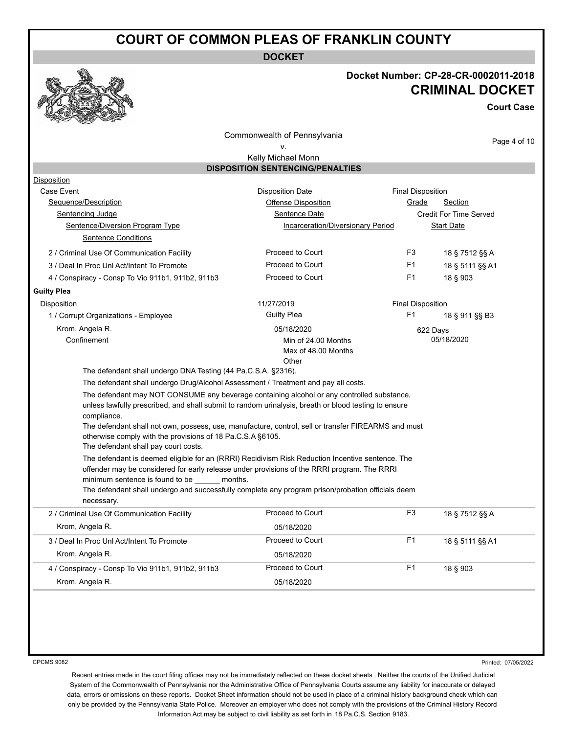**DOCKET**

#### **Docket Number: CP-28-CR-0002011-2018 CRIMINAL DOCKET**

**Court Case**

Commonwealth of Pennsylvania v.

Page 4 of 10

#### Kelly Michael Monn **DISPOSITION SENTENCING/PENALTIES**

| Disposition                                                                                      |                                                                                                                                                                                                    |                          |                          |  |  |
|--------------------------------------------------------------------------------------------------|----------------------------------------------------------------------------------------------------------------------------------------------------------------------------------------------------|--------------------------|--------------------------|--|--|
| Case Event                                                                                       | <b>Disposition Date</b>                                                                                                                                                                            |                          | <b>Final Disposition</b> |  |  |
| Sequence/Description                                                                             | <b>Offense Disposition</b>                                                                                                                                                                         | Grade                    | Section                  |  |  |
| Sentencing Judge                                                                                 | Sentence Date                                                                                                                                                                                      |                          | Credit For Time Served   |  |  |
| Sentence/Diversion Program Type                                                                  | Incarceration/Diversionary Period                                                                                                                                                                  |                          | <b>Start Date</b>        |  |  |
| <b>Sentence Conditions</b>                                                                       |                                                                                                                                                                                                    |                          |                          |  |  |
| 2 / Criminal Use Of Communication Facility                                                       | Proceed to Court                                                                                                                                                                                   | F <sub>3</sub>           | 18 § 7512 §§ A           |  |  |
| 3 / Deal In Proc Uni Act/Intent To Promote                                                       | Proceed to Court                                                                                                                                                                                   | F1                       | 18 § 5111 §§ A1          |  |  |
| 4 / Conspiracy - Consp To Vio 911b1, 911b2, 911b3                                                | Proceed to Court                                                                                                                                                                                   | F <sub>1</sub>           | 18 § 903                 |  |  |
| <b>Guilty Plea</b>                                                                               |                                                                                                                                                                                                    |                          |                          |  |  |
| Disposition                                                                                      | 11/27/2019                                                                                                                                                                                         | <b>Final Disposition</b> |                          |  |  |
| 1 / Corrupt Organizations - Employee                                                             | <b>Guilty Plea</b>                                                                                                                                                                                 | F1                       | 18 § 911 §§ B3           |  |  |
| Krom, Angela R.                                                                                  | 05/18/2020                                                                                                                                                                                         |                          | 622 Days                 |  |  |
| Confinement                                                                                      | Min of 24.00 Months                                                                                                                                                                                |                          | 05/18/2020               |  |  |
|                                                                                                  | Max of 48.00 Months                                                                                                                                                                                |                          |                          |  |  |
|                                                                                                  | Other                                                                                                                                                                                              |                          |                          |  |  |
| The defendant shall undergo DNA Testing (44 Pa.C.S.A. §2316).                                    |                                                                                                                                                                                                    |                          |                          |  |  |
| The defendant shall undergo Drug/Alcohol Assessment / Treatment and pay all costs.               |                                                                                                                                                                                                    |                          |                          |  |  |
|                                                                                                  | The defendant may NOT CONSUME any beverage containing alcohol or any controlled substance,<br>unless lawfully prescribed, and shall submit to random urinalysis, breath or blood testing to ensure |                          |                          |  |  |
| compliance.                                                                                      |                                                                                                                                                                                                    |                          |                          |  |  |
|                                                                                                  | The defendant shall not own, possess, use, manufacture, control, sell or transfer FIREARMS and must                                                                                                |                          |                          |  |  |
| otherwise comply with the provisions of 18 Pa.C.S.A §6105.                                       |                                                                                                                                                                                                    |                          |                          |  |  |
| The defendant shall pay court costs.                                                             |                                                                                                                                                                                                    |                          |                          |  |  |
|                                                                                                  |                                                                                                                                                                                                    |                          |                          |  |  |
| The defendant is deemed eligible for an (RRRI) Recidivism Risk Reduction Incentive sentence. The |                                                                                                                                                                                                    |                          |                          |  |  |
|                                                                                                  | offender may be considered for early release under provisions of the RRRI program. The RRRI                                                                                                        |                          |                          |  |  |
| minimum sentence is found to be months.                                                          |                                                                                                                                                                                                    |                          |                          |  |  |
|                                                                                                  | The defendant shall undergo and successfully complete any program prison/probation officials deem                                                                                                  |                          |                          |  |  |
| necessary.                                                                                       |                                                                                                                                                                                                    |                          |                          |  |  |
| 2 / Criminal Use Of Communication Facility                                                       | Proceed to Court                                                                                                                                                                                   | F <sub>3</sub>           | 18 § 7512 §§ A           |  |  |
| Krom, Angela R.                                                                                  | 05/18/2020                                                                                                                                                                                         |                          |                          |  |  |
| 3 / Deal In Proc Unl Act/Intent To Promote                                                       | Proceed to Court                                                                                                                                                                                   | F <sub>1</sub>           | 18 § 5111 §§ A1          |  |  |
| Krom, Angela R.                                                                                  | 05/18/2020                                                                                                                                                                                         |                          |                          |  |  |
| 4 / Conspiracy - Consp To Vio 911b1, 911b2, 911b3                                                | Proceed to Court                                                                                                                                                                                   | F <sub>1</sub>           | 18 § 903                 |  |  |

CPCMS 9082

Printed: 07/05/2022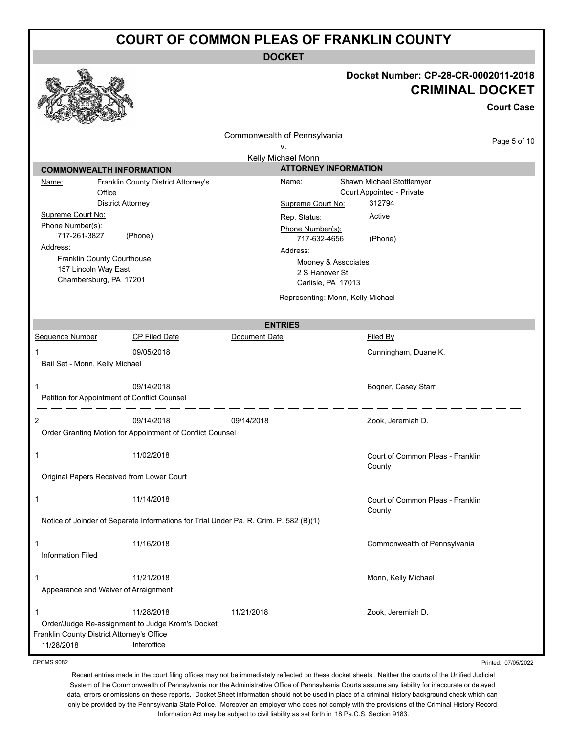**DOCKET**

|                                                                                          |                                                                                       | <b>DOCKET</b>                                                           |                                                                                     |
|------------------------------------------------------------------------------------------|---------------------------------------------------------------------------------------|-------------------------------------------------------------------------|-------------------------------------------------------------------------------------|
|                                                                                          |                                                                                       |                                                                         | Docket Number: CP-28-CR-0002011-2018<br><b>CRIMINAL DOCKET</b><br><b>Court Case</b> |
|                                                                                          |                                                                                       | Commonwealth of Pennsylvania                                            | Page 5 of 10                                                                        |
|                                                                                          |                                                                                       | ν.<br>Kelly Michael Monn                                                |                                                                                     |
| <b>COMMONWEALTH INFORMATION</b>                                                          |                                                                                       | <b>ATTORNEY INFORMATION</b>                                             |                                                                                     |
| Name:<br>Office                                                                          | Franklin County District Attorney's<br><b>District Attorney</b>                       | Name:<br>Supreme Court No:                                              | Shawn Michael Stottlemyer<br>Court Appointed - Private<br>312794                    |
| Supreme Court No:<br>Phone Number(s):<br>717-261-3827                                    | (Phone)                                                                               | Rep. Status:<br>Phone Number(s):<br>717-632-4656                        | Active<br>(Phone)                                                                   |
| Address:<br>Franklin County Courthouse<br>157 Lincoln Way East<br>Chambersburg, PA 17201 |                                                                                       | Address:<br>Mooney & Associates<br>2 S Hanover St<br>Carlisle, PA 17013 |                                                                                     |
|                                                                                          |                                                                                       | Representing: Monn, Kelly Michael                                       |                                                                                     |
|                                                                                          |                                                                                       | <b>ENTRIES</b>                                                          |                                                                                     |
| Sequence Number                                                                          | <b>CP Filed Date</b>                                                                  | Document Date                                                           | Filed By                                                                            |
| Bail Set - Monn, Kelly Michael                                                           | 09/05/2018                                                                            |                                                                         | Cunningham, Duane K.                                                                |
|                                                                                          | 09/14/2018<br>Petition for Appointment of Conflict Counsel                            |                                                                         | Bogner, Casey Starr                                                                 |
| 2                                                                                        | 09/14/2018<br>Order Granting Motion for Appointment of Conflict Counsel               | 09/14/2018                                                              | Zook, Jeremiah D.                                                                   |
|                                                                                          | 11/02/2018                                                                            |                                                                         | Court of Common Pleas - Franklin<br>County                                          |
|                                                                                          | Original Papers Received from Lower Court                                             |                                                                         |                                                                                     |
| 1                                                                                        | 11/14/2018                                                                            |                                                                         | Court of Common Pleas - Franklin<br>County                                          |
|                                                                                          | Notice of Joinder of Separate Informations for Trial Under Pa. R. Crim. P. 582 (B)(1) |                                                                         |                                                                                     |
| 1<br><b>Information Filed</b>                                                            | 11/16/2018                                                                            |                                                                         | Commonwealth of Pennsylvania                                                        |
| 1<br>Appearance and Waiver of Arraignment                                                | 11/21/2018                                                                            |                                                                         | Monn, Kelly Michael                                                                 |
| 1<br>Franklin County District Attorney's Office<br>11/28/2018                            | 11/28/2018<br>Order/Judge Re-assignment to Judge Krom's Docket<br>Interoffice         | 11/21/2018                                                              | Zook, Jeremiah D.                                                                   |
| <b>CPCMS 9082</b>                                                                        |                                                                                       |                                                                         | Printed: 07/05/2022                                                                 |

CPCMS 9082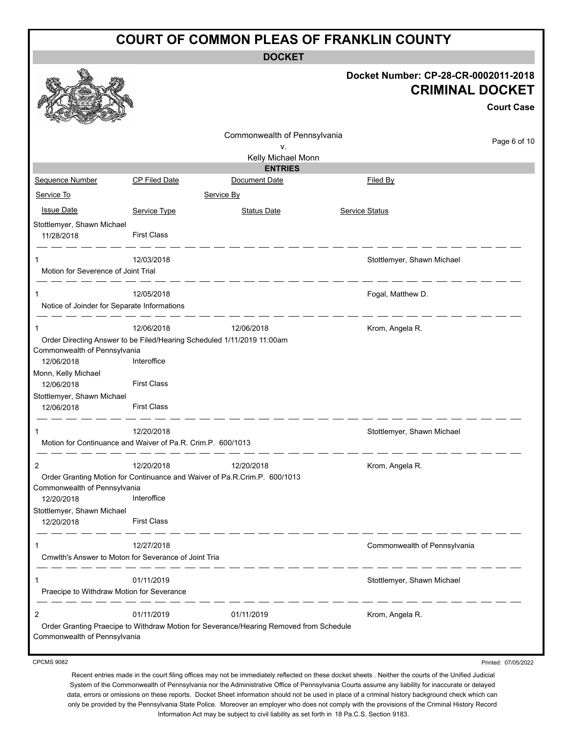**DOCKET**

|                                                             |                      |                                                                                        | Docket Number: CP-28-CR-0002011-2018<br><b>CRIMINAL DOCKET</b> |
|-------------------------------------------------------------|----------------------|----------------------------------------------------------------------------------------|----------------------------------------------------------------|
|                                                             |                      |                                                                                        | <b>Court Case</b>                                              |
|                                                             |                      | Commonwealth of Pennsylvania                                                           | Page 6 of 10                                                   |
|                                                             |                      | v.<br>Kelly Michael Monn                                                               |                                                                |
|                                                             |                      | <b>ENTRIES</b>                                                                         |                                                                |
| Sequence Number                                             | <b>CP Filed Date</b> | Document Date                                                                          | Filed By                                                       |
| Service To                                                  |                      | Service By                                                                             |                                                                |
| <b>Issue Date</b>                                           | Service Type         | <b>Status Date</b>                                                                     | <b>Service Status</b>                                          |
| Stottlemyer, Shawn Michael<br>11/28/2018                    | <b>First Class</b>   |                                                                                        |                                                                |
| 1                                                           | 12/03/2018           |                                                                                        | Stottlemyer, Shawn Michael                                     |
| Motion for Severence of Joint Trial                         |                      |                                                                                        |                                                                |
|                                                             |                      |                                                                                        |                                                                |
| Notice of Joinder for Separate Informations                 | 12/05/2018           |                                                                                        | Fogal, Matthew D.                                              |
|                                                             |                      |                                                                                        |                                                                |
| 1                                                           | 12/06/2018           | 12/06/2018                                                                             | Krom, Angela R.                                                |
|                                                             |                      | Order Directing Answer to be Filed/Hearing Scheduled 1/11/2019 11:00am                 |                                                                |
| Commonwealth of Pennsylvania<br>12/06/2018                  | Interoffice          |                                                                                        |                                                                |
| Monn, Kelly Michael                                         |                      |                                                                                        |                                                                |
| 12/06/2018                                                  | <b>First Class</b>   |                                                                                        |                                                                |
| Stottlemyer, Shawn Michael                                  |                      |                                                                                        |                                                                |
| 12/06/2018                                                  | <b>First Class</b>   |                                                                                        |                                                                |
| 1                                                           | 12/20/2018           |                                                                                        | Stottlemyer, Shawn Michael                                     |
| Motion for Continuance and Waiver of Pa.R. Crim.P. 600/1013 |                      |                                                                                        |                                                                |
|                                                             |                      |                                                                                        |                                                                |
| 2                                                           | 12/20/2018           | 12/20/2018                                                                             | Krom, Angela R.                                                |
| Commonwealth of Pennsylvania                                |                      | Order Granting Motion for Continuance and Waiver of Pa.R.Crim.P. 600/1013              |                                                                |
| 12/20/2018                                                  | Interoffice          |                                                                                        |                                                                |
| Stottlemyer, Shawn Michael                                  |                      |                                                                                        |                                                                |
| 12/20/2018                                                  | <b>First Class</b>   |                                                                                        |                                                                |
|                                                             |                      |                                                                                        |                                                                |
| 1<br>Cmwlth's Answer to Moton for Severance of Joint Tria   | 12/27/2018           |                                                                                        | Commonwealth of Pennsylvania                                   |
|                                                             |                      |                                                                                        |                                                                |
| 1                                                           | 01/11/2019           |                                                                                        | Stottlemyer, Shawn Michael                                     |
| Praecipe to Withdraw Motion for Severance                   |                      |                                                                                        |                                                                |
| 2                                                           | 01/11/2019           | 01/11/2019                                                                             | Krom, Angela R.                                                |
|                                                             |                      | Order Granting Praecipe to Withdraw Motion for Severance/Hearing Removed from Schedule |                                                                |
| Commonwealth of Pennsylvania                                |                      |                                                                                        |                                                                |
|                                                             |                      |                                                                                        |                                                                |
| <b>CPCMS 9082</b>                                           |                      |                                                                                        | Printed: 07/05/2022                                            |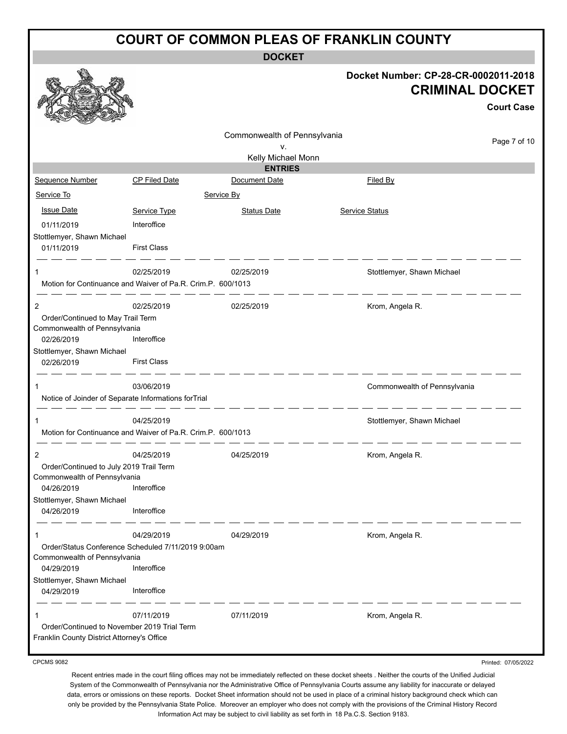**DOCKET**

|                                                                                                                                        |                                                                                                | DUUNE I                      |                                                                |                   |
|----------------------------------------------------------------------------------------------------------------------------------------|------------------------------------------------------------------------------------------------|------------------------------|----------------------------------------------------------------|-------------------|
|                                                                                                                                        |                                                                                                |                              | Docket Number: CP-28-CR-0002011-2018<br><b>CRIMINAL DOCKET</b> | <b>Court Case</b> |
|                                                                                                                                        |                                                                                                | Commonwealth of Pennsylvania |                                                                | Page 7 of 10      |
|                                                                                                                                        |                                                                                                | v.<br>Kelly Michael Monn     |                                                                |                   |
|                                                                                                                                        |                                                                                                | <b>ENTRIES</b>               |                                                                |                   |
| Sequence Number                                                                                                                        | <b>CP Filed Date</b>                                                                           | Document Date                | Filed By                                                       |                   |
| Service To                                                                                                                             | Service By                                                                                     |                              |                                                                |                   |
| <b>Issue Date</b>                                                                                                                      | Service Type                                                                                   | <b>Status Date</b>           | <b>Service Status</b>                                          |                   |
| 01/11/2019                                                                                                                             | Interoffice                                                                                    |                              |                                                                |                   |
| Stottlemyer, Shawn Michael<br>01/11/2019                                                                                               | <b>First Class</b>                                                                             |                              |                                                                |                   |
| 1                                                                                                                                      | 02/25/2019<br>Motion for Continuance and Waiver of Pa.R. Crim.P. 600/1013                      | 02/25/2019                   | Stottlemyer, Shawn Michael                                     |                   |
| 2<br>Order/Continued to May Trail Term<br>Commonwealth of Pennsylvania<br>02/26/2019<br>Stottlemyer, Shawn Michael<br>02/26/2019       | 02/25/2019<br>Interoffice<br><b>First Class</b>                                                | 02/25/2019                   | Krom, Angela R.                                                |                   |
| Notice of Joinder of Separate Informations forTrial                                                                                    | 03/06/2019                                                                                     |                              | Commonwealth of Pennsylvania                                   |                   |
|                                                                                                                                        | 04/25/2019<br>Motion for Continuance and Waiver of Pa.R. Crim.P. 600/1013                      |                              | Stottlemyer, Shawn Michael                                     |                   |
| 2<br>Order/Continued to July 2019 Trail Term<br>Commonwealth of Pennsylvania<br>04/26/2019<br>Stottlemyer, Shawn Michael<br>04/26/2019 | 04/25/2019<br>Interoffice<br>Interoffice                                                       | 04/25/2019                   | Krom, Angela R.                                                |                   |
| 1<br>Commonwealth of Pennsylvania<br>04/29/2019<br>Stottlemyer, Shawn Michael<br>04/29/2019                                            | 04/29/2019<br>Order/Status Conference Scheduled 7/11/2019 9:00am<br>Interoffice<br>Interoffice | 04/29/2019                   | Krom, Angela R.                                                |                   |
| Order/Continued to November 2019 Trial Term<br>Franklin County District Attorney's Office<br><b>CPCMS 9082</b>                         | 07/11/2019                                                                                     | 07/11/2019                   | Krom, Angela R.<br>Printed: 07/05/2022                         |                   |

CPCMS 9082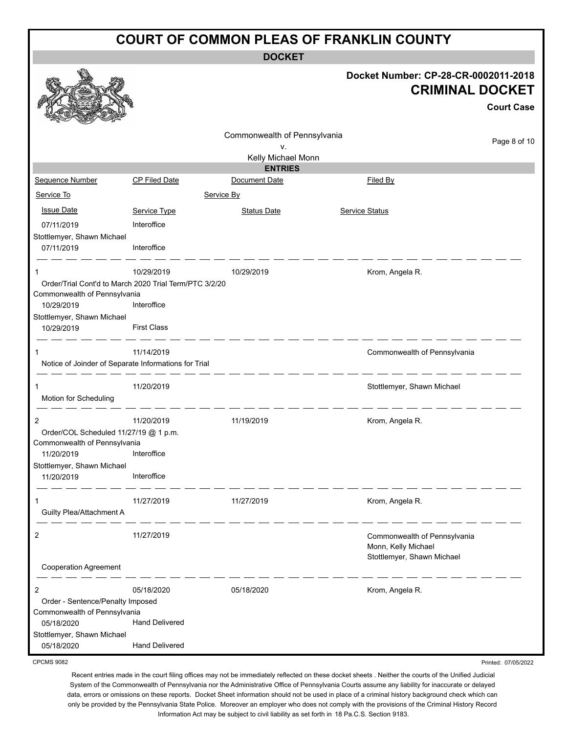**DOCKET**

# **Docket Number: CP-28-CR-0002011-2018 Court Case CRIMINAL DOCKET**

|                                                      |                                                        | Commonwealth of Pennsylvania    |                              |              |
|------------------------------------------------------|--------------------------------------------------------|---------------------------------|------------------------------|--------------|
|                                                      |                                                        | ٧.                              |                              | Page 8 of 10 |
|                                                      |                                                        | Kelly Michael Monn              |                              |              |
| Sequence Number                                      | <b>CP Filed Date</b>                                   | <b>ENTRIES</b><br>Document Date | <b>Filed By</b>              |              |
| Service To                                           | Service By                                             |                                 |                              |              |
|                                                      |                                                        |                                 |                              |              |
| <b>Issue Date</b>                                    | Service Type                                           | <b>Status Date</b>              | <b>Service Status</b>        |              |
| 07/11/2019<br>Stottlemyer, Shawn Michael             | Interoffice                                            |                                 |                              |              |
| 07/11/2019                                           | Interoffice                                            |                                 |                              |              |
| 1                                                    | 10/29/2019                                             | 10/29/2019                      | Krom, Angela R.              |              |
| Commonwealth of Pennsylvania                         | Order/Trial Cont'd to March 2020 Trial Term/PTC 3/2/20 |                                 |                              |              |
| 10/29/2019                                           | Interoffice                                            |                                 |                              |              |
| Stottlemyer, Shawn Michael                           |                                                        |                                 |                              |              |
| 10/29/2019                                           | <b>First Class</b>                                     |                                 |                              |              |
| 1                                                    | 11/14/2019                                             |                                 | Commonwealth of Pennsylvania |              |
| Notice of Joinder of Separate Informations for Trial |                                                        |                                 |                              |              |
| 1                                                    | 11/20/2019                                             |                                 | Stottlemyer, Shawn Michael   |              |
| Motion for Scheduling                                |                                                        |                                 |                              |              |
| $\overline{2}$                                       | 11/20/2019                                             | 11/19/2019                      | Krom, Angela R.              |              |
| Order/COL Scheduled 11/27/19 @ 1 p.m.                |                                                        |                                 |                              |              |
| Commonwealth of Pennsylvania<br>11/20/2019           | Interoffice                                            |                                 |                              |              |
| Stottlemyer, Shawn Michael                           |                                                        |                                 |                              |              |
| 11/20/2019                                           | Interoffice                                            |                                 |                              |              |
|                                                      | 11/27/2019                                             | 11/27/2019                      | Krom, Angela R.              |              |
| Guilty Plea/Attachment A                             |                                                        |                                 |                              |              |
| 2                                                    | 11/27/2019                                             |                                 | Commonwealth of Pennsylvania |              |
|                                                      |                                                        |                                 | Monn, Kelly Michael          |              |
| <b>Cooperation Agreement</b>                         |                                                        |                                 | Stottlemyer, Shawn Michael   |              |
| 2                                                    | 05/18/2020                                             | 05/18/2020                      | Krom, Angela R.              |              |
| Order - Sentence/Penalty Imposed                     |                                                        |                                 |                              |              |
| Commonwealth of Pennsylvania<br>05/18/2020           | <b>Hand Delivered</b>                                  |                                 |                              |              |
| Stottlemyer, Shawn Michael                           |                                                        |                                 |                              |              |
| 05/18/2020                                           | <b>Hand Delivered</b>                                  |                                 |                              |              |

CPCMS 9082

Recent entries made in the court filing offices may not be immediately reflected on these docket sheets . Neither the courts of the Unified Judicial System of the Commonwealth of Pennsylvania nor the Administrative Office of Pennsylvania Courts assume any liability for inaccurate or delayed data, errors or omissions on these reports. Docket Sheet information should not be used in place of a criminal history background check which can only be provided by the Pennsylvania State Police. Moreover an employer who does not comply with the provisions of the Criminal History Record Information Act may be subject to civil liability as set forth in 18 Pa.C.S. Section 9183.

Printed: 07/05/2022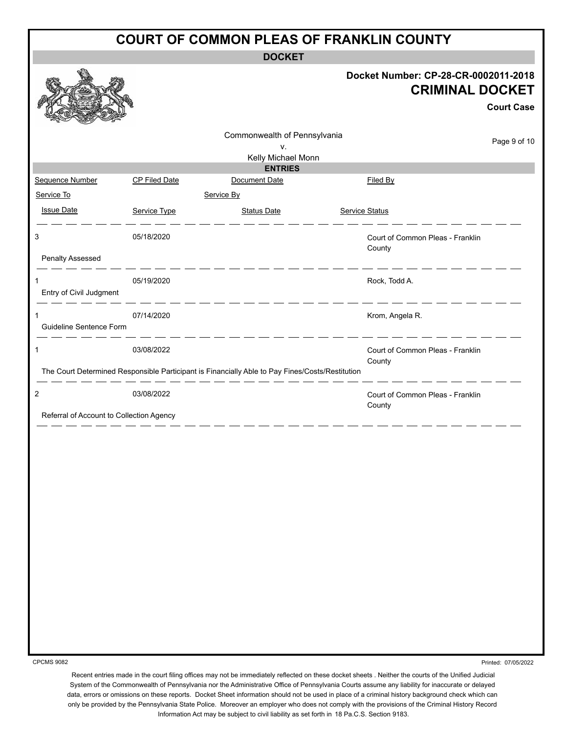**DOCKET**

#### **Docket Number: CP-28-CR-0002011-2018 CRIMINAL DOCKET**

|                                          |                      |                                                                                                 |                                            | <b>Court Case</b> |
|------------------------------------------|----------------------|-------------------------------------------------------------------------------------------------|--------------------------------------------|-------------------|
|                                          |                      | Commonwealth of Pennsylvania                                                                    |                                            |                   |
|                                          |                      | v.                                                                                              |                                            | Page 9 of 10      |
|                                          |                      | Kelly Michael Monn                                                                              |                                            |                   |
| Sequence Number                          | <b>CP Filed Date</b> | <b>ENTRIES</b><br>Document Date                                                                 | <b>Filed By</b>                            |                   |
| Service To                               |                      | Service By                                                                                      |                                            |                   |
| <b>Issue Date</b>                        | Service Type         | <b>Status Date</b>                                                                              | <b>Service Status</b>                      |                   |
| 3<br><b>Penalty Assessed</b>             | 05/18/2020           |                                                                                                 | Court of Common Pleas - Franklin<br>County |                   |
| 1<br>Entry of Civil Judgment             | 05/19/2020           |                                                                                                 | Rock, Todd A.                              |                   |
| 1<br>Guideline Sentence Form             | 07/14/2020           |                                                                                                 | Krom, Angela R.                            |                   |
| $\mathbf{1}$                             | 03/08/2022           |                                                                                                 | Court of Common Pleas - Franklin<br>County |                   |
|                                          |                      | The Court Determined Responsible Participant is Financially Able to Pay Fines/Costs/Restitution |                                            |                   |
| $\sqrt{2}$                               | 03/08/2022           |                                                                                                 | Court of Common Pleas - Franklin<br>County |                   |
| Referral of Account to Collection Agency |                      |                                                                                                 |                                            |                   |
|                                          |                      |                                                                                                 |                                            |                   |
|                                          |                      |                                                                                                 |                                            |                   |
|                                          |                      |                                                                                                 |                                            |                   |
|                                          |                      |                                                                                                 |                                            |                   |
|                                          |                      |                                                                                                 |                                            |                   |
|                                          |                      |                                                                                                 |                                            |                   |
|                                          |                      |                                                                                                 |                                            |                   |
|                                          |                      |                                                                                                 |                                            |                   |

CPCMS 9082

**B** 

Printed: 07/05/2022